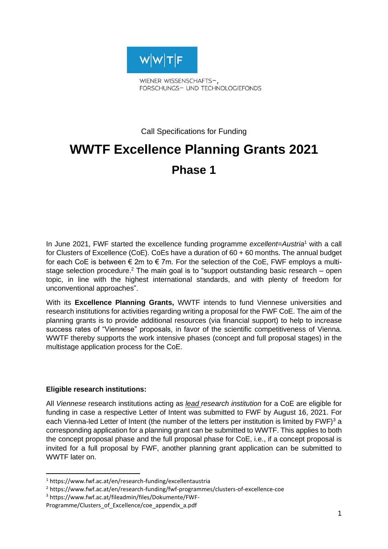

FORSCHUNGS- UND TECHNOLOGIEFONDS

Call Specifications for Funding

# **WWTF Excellence Planning Grants 2021 Phase 1**

In June 2021, FWF started the excellence funding programme *excellent=Austria*<sup>1</sup> with a call for Clusters of Excellence (CoE). CoEs have a duration of 60 + 60 months. The annual budget for each CoE is between  $\epsilon$  2m to  $\epsilon$  7m. For the selection of the CoE, FWF employs a multistage selection procedure.<sup>2</sup> The main goal is to "support outstanding basic research – open topic, in line with the highest international standards, and with plenty of freedom for unconventional approaches".

With its **Excellence Planning Grants,** WWTF intends to fund Viennese universities and research institutions for activities regarding writing a proposal for the FWF CoE. The aim of the planning grants is to provide additional resources (via financial support) to help to increase success rates of "Viennese" proposals, in favor of the scientific competitiveness of Vienna. WWTF thereby supports the work intensive phases (concept and full proposal stages) in the multistage application process for the CoE.

## **Eligible research institutions:**

All *Viennese* research institutions acting as *lead research institution* for a CoE are eligible for funding in case a respective Letter of Intent was submitted to FWF by August 16, 2021. For each Vienna-led Letter of Intent (the number of the letters per institution is limited by  $FWF$ )<sup>3</sup> a corresponding application for a planning grant can be submitted to WWTF. This applies to both the concept proposal phase and the full proposal phase for CoE, i.e., if a concept proposal is invited for a full proposal by FWF, another planning grant application can be submitted to WWTF later on.

<sup>1</sup> https://www.fwf.ac.at/en/research-funding/excellentaustria

<sup>2</sup> https://www.fwf.ac.at/en/research-funding/fwf-programmes/clusters-of-excellence-coe

<sup>3</sup> https://www.fwf.ac.at/fileadmin/files/Dokumente/FWF-

Programme/Clusters\_of\_Excellence/coe\_appendix\_a.pdf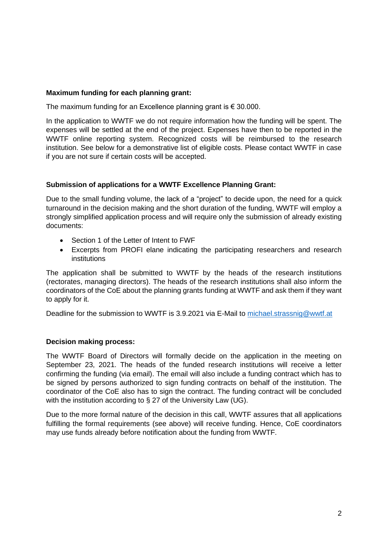## **Maximum funding for each planning grant:**

The maximum funding for an Excellence planning grant is € 30.000.

In the application to WWTF we do not require information how the funding will be spent. The expenses will be settled at the end of the project. Expenses have then to be reported in the WWTF online reporting system. Recognized costs will be reimbursed to the research institution. See below for a demonstrative list of eligible costs. Please contact WWTF in case if you are not sure if certain costs will be accepted.

# **Submission of applications for a WWTF Excellence Planning Grant:**

Due to the small funding volume, the lack of a "project" to decide upon, the need for a quick turnaround in the decision making and the short duration of the funding, WWTF will employ a strongly simplified application process and will require only the submission of already existing documents:

- Section 1 of the Letter of Intent to FWF
- Excerpts from PROFI elane indicating the participating researchers and research institutions

The application shall be submitted to WWTF by the heads of the research institutions (rectorates, managing directors). The heads of the research institutions shall also inform the coordinators of the CoE about the planning grants funding at WWTF and ask them if they want to apply for it.

Deadline for the submission to WWTF is 3.9.2021 via E-Mail to [michael.strassnig@wwtf.at](mailto:michael.strassnig@wwtf.at)

# **Decision making process:**

The WWTF Board of Directors will formally decide on the application in the meeting on September 23, 2021. The heads of the funded research institutions will receive a letter confirming the funding (via email). The email will also include a funding contract which has to be signed by persons authorized to sign funding contracts on behalf of the institution. The coordinator of the CoE also has to sign the contract. The funding contract will be concluded with the institution according to § 27 of the University Law (UG).

Due to the more formal nature of the decision in this call, WWTF assures that all applications fulfilling the formal requirements (see above) will receive funding. Hence, CoE coordinators may use funds already before notification about the funding from WWTF.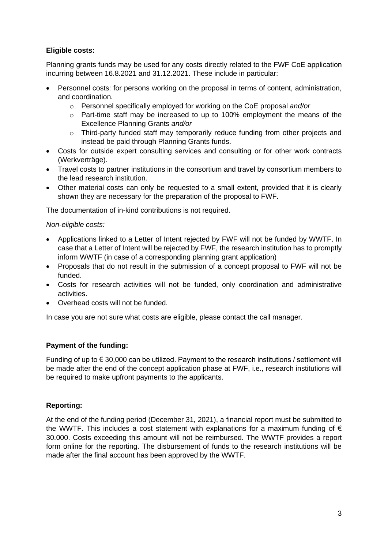# **Eligible costs:**

Planning grants funds may be used for any costs directly related to the FWF CoE application incurring between 16.8.2021 and 31.12.2021. These include in particular:

- Personnel costs: for persons working on the proposal in terms of content, administration, and coordination.
	- o Personnel specifically employed for working on the CoE proposal *and/or*
	- o Part-time staff may be increased to up to 100% employment the means of the Excellence Planning Grants *and/or*
	- o Third-party funded staff may temporarily reduce funding from other projects and instead be paid through Planning Grants funds.
- Costs for outside expert consulting services and consulting or for other work contracts (Werkverträge).
- Travel costs to partner institutions in the consortium and travel by consortium members to the lead research institution.
- Other material costs can only be requested to a small extent, provided that it is clearly shown they are necessary for the preparation of the proposal to FWF.

The documentation of in-kind contributions is not required.

#### *Non-eligible costs:*

- Applications linked to a Letter of Intent rejected by FWF will not be funded by WWTF. In case that a Letter of Intent will be rejected by FWF, the research institution has to promptly inform WWTF (in case of a corresponding planning grant application)
- Proposals that do not result in the submission of a concept proposal to FWF will not be funded.
- Costs for research activities will not be funded, only coordination and administrative activities.
- Overhead costs will not be funded.

In case you are not sure what costs are eligible, please contact the call manager.

## **Payment of the funding:**

Funding of up to  $\epsilon$  30,000 can be utilized. Payment to the research institutions / settlement will be made after the end of the concept application phase at FWF, i.e., research institutions will be required to make upfront payments to the applicants.

## **Reporting:**

At the end of the funding period (December 31, 2021), a financial report must be submitted to the WWTF. This includes a cost statement with explanations for a maximum funding of  $\epsilon$ 30.000. Costs exceeding this amount will not be reimbursed. The WWTF provides a report form online for the reporting. The disbursement of funds to the research institutions will be made after the final account has been approved by the WWTF.